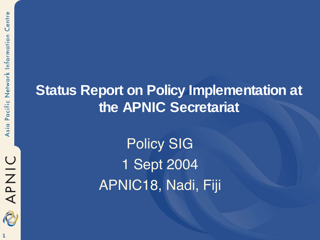# **OINAR**

#### **Status Report on Policy Implementation at the APNIC Secretariat**

Policy SIG 1 Sept 2004 APNIC18, Nadi, Fiji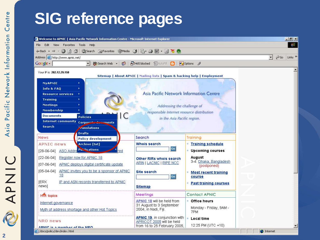# **SIG reference pages**



∢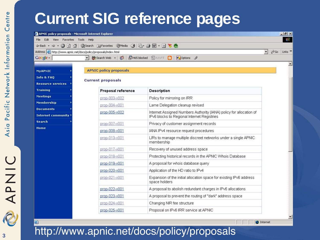### **Current SIG reference pages**

| File Edit<br>View Favorites Tools Help |                                                                                                                               |                                                                                      |                              | 粗                         |
|----------------------------------------|-------------------------------------------------------------------------------------------------------------------------------|--------------------------------------------------------------------------------------|------------------------------|---------------------------|
|                                        | ↓Back · → • ◎ ② △ ◎Search 图Favorites ③Media ③ 邑· 鱼 回 • 目 も &                                                                  |                                                                                      |                              | Links <sup>&gt;&gt;</sup> |
| Google -                               | Address <b>&amp;</b> http://www.apnic.net/docs/policy/proposals/index.html<br><del>除</del> Search Web →<br>50<br>$\mathbf{r}$ | 日 465 blocked 图 AutoFill 日<br>Options /                                              | $\hat{\alpha}$ Go<br>$\vert$ |                           |
|                                        |                                                                                                                               |                                                                                      |                              | $\overline{\phantom{0}}$  |
| <b>MyAPNIC</b>                         | <b>APNIC policy proposals</b>                                                                                                 |                                                                                      |                              |                           |
| Info & FAQ                             |                                                                                                                               |                                                                                      |                              |                           |
| <b>Resource services</b>               | <b>Current proposals</b>                                                                                                      |                                                                                      |                              |                           |
| <b>Training</b>                        | Proposal reference                                                                                                            | Description                                                                          |                              |                           |
| <b>Meetings</b>                        | prop-003-y002                                                                                                                 | Policy for mirroring on IRR                                                          |                              |                           |
| Membership                             | prop-004-y001                                                                                                                 | Lame Delegation cleanup revised                                                      |                              |                           |
| <b>Documents</b>                       | prop-005-y002                                                                                                                 | Internet Assigned Numbers Authority (IANA) policy for allocation of                  |                              |                           |
| Internet community                     |                                                                                                                               | IPv6 blocks to Regional Internet Registries                                          |                              |                           |
| Search                                 | prop-007-v001                                                                                                                 | Privacy of customer assignment records                                               |                              |                           |
| Home                                   | prop-008-y001                                                                                                                 | IANA IPv4 resource request procedures                                                |                              |                           |
|                                        | prop-013-v001                                                                                                                 | LIRs to manage multiple discreet networks under a single APNIC<br>membership         |                              |                           |
|                                        | prop-017- $v$ 001                                                                                                             | Recovery of unused address space                                                     |                              |                           |
|                                        | prop-018-v001                                                                                                                 | Protecting historical records in the APNIC Whois Database                            |                              |                           |
|                                        | prop-019-v001                                                                                                                 | A proposal for whois database query                                                  |                              |                           |
|                                        | prop-020-y001                                                                                                                 | Application of the HD ratio to IPv4                                                  |                              |                           |
|                                        | prop-021-v001                                                                                                                 | Expansion of the initial allocation space for existing IPv6 address<br>space holders |                              |                           |
|                                        | prop-022-v001                                                                                                                 | A proposal to abolish redundant charges in IPv6 allocations.                         |                              |                           |
|                                        | prop-023-v001                                                                                                                 | A proposal to prevent the routing of "dark" address space                            |                              |                           |
|                                        | prop-024-v001                                                                                                                 | Changing NIR fee structure                                                           |                              |                           |
|                                        | prop-025-v001                                                                                                                 | Proposal on IPv6 IRR service at APNIC                                                |                              |                           |

**O** Internet

http://www.apnic.net/docs/policy/proposals

**UINAR**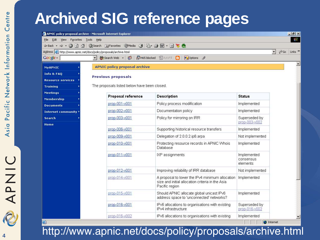## **Archived SIG reference pages**

|                                                                     | APNIC policy proposal archive - Microsoft Internet Explorer           |                                                                                                                       |                                      |                      |                  | $-10 X $                  |
|---------------------------------------------------------------------|-----------------------------------------------------------------------|-----------------------------------------------------------------------------------------------------------------------|--------------------------------------|----------------------|------------------|---------------------------|
| Edit<br>View Favorites Tools<br>File                                | Help                                                                  |                                                                                                                       |                                      |                      |                  | $\mathbb{R}^3$            |
|                                                                     | ←Back ← → • ◎ ② △ ◎Search 图Favorites ③Media ③ 图 • 图 ■ • 图 ■ 卷 ●       |                                                                                                                       |                                      |                      |                  |                           |
| Address the http://www.apnic.net/docs/policy/proposals/archive.html |                                                                       |                                                                                                                       |                                      | $\blacktriangledown$ | $\mathcal{O}$ Go | Links <sup>&gt;&gt;</sup> |
| Google -                                                            | <del>M</del> Search Web ▼<br>$\circled{}$<br><sup>2</sup> 465 blocked | 图 AutoFill<br>Options /<br>$\lceil \cdot \rceil$                                                                      |                                      |                      |                  |                           |
| <b>MyAPNIC</b>                                                      | <b>APNIC policy proposal archive</b>                                  |                                                                                                                       |                                      |                      |                  | $\left  \bullet \right $  |
| <b>Info &amp; FAQ</b>                                               | Previous proposals                                                    |                                                                                                                       |                                      |                      |                  |                           |
| <b>Resource services</b>                                            |                                                                       |                                                                                                                       |                                      |                      |                  |                           |
| <b>Training</b>                                                     | The proposals listed below have been closed.                          |                                                                                                                       |                                      |                      |                  |                           |
| <b>Meetings</b><br><b>Membership</b>                                | Proposal reference                                                    | Description                                                                                                           | <b>Status</b>                        |                      |                  |                           |
| <b>Documents</b>                                                    | prop-001-y001                                                         | Policy process modification                                                                                           | Implemented                          |                      |                  |                           |
| Internet community $\rightarrow$                                    | prop-002-y001                                                         | Documentation policy                                                                                                  | Implemented                          |                      |                  |                           |
| Search<br>Home                                                      | prop-003-y001                                                         | Policy for mirroring on IRR                                                                                           | Superseded by<br>prop-003-y002       |                      |                  |                           |
|                                                                     | prop-006-y001                                                         | Supporting historical resource transfers                                                                              | Implemented                          |                      |                  |                           |
|                                                                     | prop-009-v001                                                         | Delegation of 2.0.0.2.ip6.arpa                                                                                        | Not implemented                      |                      |                  |                           |
|                                                                     | prop-010-v001                                                         | Protecting resource records in APNIC Whois<br>Database                                                                | Implemented                          |                      |                  |                           |
|                                                                     | prop-011-y001                                                         | IXP assignments                                                                                                       | Implemented<br>consensus<br>elements |                      |                  |                           |
|                                                                     | prop-012-v001                                                         | Improving reliability of IRR database                                                                                 | Not implemented                      |                      |                  |                           |
|                                                                     | prop-014-y001                                                         | A proposal to lower the IPv4 minimum allocation<br>size and initial allocation criteria in the Asia<br>Pacific region | Implemented                          |                      |                  |                           |
|                                                                     | prop-015-y001                                                         | Should APNIC allocate global unicast IPv6<br>address space to 'unconnected' networks?                                 | Implemented                          |                      |                  |                           |
|                                                                     | prop-016-y001                                                         | IPv6 allocations to organisations with existing<br>IPv4 infrastructure                                                | Superseded by<br>prop-016-v002       |                      |                  |                           |
|                                                                     | prop-016-y002                                                         | IPv6 allocations to organisations with existing                                                                       | Implemented                          |                      |                  | $\mathbf{r}$              |
| 画                                                                   |                                                                       |                                                                                                                       |                                      | <b>O</b> Internet    |                  |                           |

http://www.apnic.net/docs/policy/proposals/archive.html

**4**

**UINAR**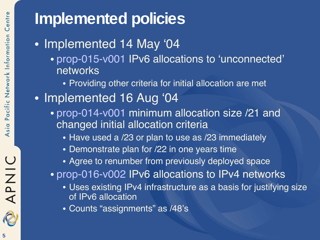# UINAR

#### **5**

# **Implemented policies**

- Implemented 14 May '04
	- prop-015-v001 IPv6 allocations to 'unconnected' networks
		- Providing other criteria for initial allocation are met
- Implemented 16 Aug '04
	- prop-014-v001 minimum allocation size /21 and changed initial allocation criteria
		- Have used a /23 or plan to use as /23 immediately
		- Demonstrate plan for /22 in one years time
		- Agree to renumber from previously deployed space
	- prop-016-v002 IPv6 allocations to IPv4 networks
		- Uses existing IPv4 infrastructure as a basis for justifying size of IPv6 allocation
		- Counts "assignments" as /48's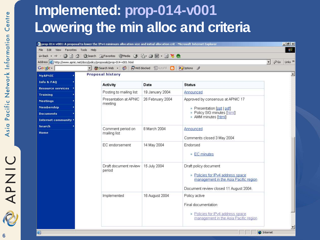### **Implemented: prop-014-v001 Lowering the min alloc and criteria**

|                                                                         | prop-014-v001: A proposal to lower the IPv4 minimum allocation size and initial allocation crit - Microsoft Internet Explorer |                                          |                                                                                                                                               | $   \times$                                               |
|-------------------------------------------------------------------------|-------------------------------------------------------------------------------------------------------------------------------|------------------------------------------|-----------------------------------------------------------------------------------------------------------------------------------------------|-----------------------------------------------------------|
| Edit<br>View<br>Favorites<br>Tools<br>File                              | Help                                                                                                                          |                                          |                                                                                                                                               | $\mathbb{H}^1$                                            |
| 00<br>$\Delta$<br>← Back →                                              | ◎Search 图Favorites ③Media ③ 图· ③ 回· 目 <sup>3</sup> 8 &                                                                        |                                          |                                                                                                                                               |                                                           |
| Address   http://www.apnic.net/docs/policy/proposals/prop-014-v001.html |                                                                                                                               |                                          |                                                                                                                                               | $\vert$<br>$\hat{\alpha}$ Go<br>Links <sup>&gt;&gt;</sup> |
| Google -                                                                | $\overline{\phantom{a}}$<br><b>Bo</b> Search Web → 3                                                                          | P1465 blocked <b>E</b> AutoFill <b>B</b> | Options                                                                                                                                       |                                                           |
| MyAPNIC                                                                 | <b>Proposal history</b>                                                                                                       |                                          |                                                                                                                                               | $\blacktriangle$                                          |
| <b>Info &amp; FAQ</b>                                                   | Activity                                                                                                                      | Date                                     | <b>Status</b>                                                                                                                                 |                                                           |
| <b>Resource services</b>                                                | Posting to mailing list                                                                                                       | 19 January 2004                          | <b>Announced</b>                                                                                                                              |                                                           |
| <b>Training</b>                                                         |                                                                                                                               |                                          |                                                                                                                                               |                                                           |
| Meetings                                                                | Presentation at APNIC<br>meeting                                                                                              | 26 February 2004                         | Approved by consensus at APNIC 17                                                                                                             |                                                           |
| Membership                                                              |                                                                                                                               |                                          | · Presentation [ppt   pdf]<br>· Policy SIG minutes [html]<br>· AMM minutes [html]                                                             |                                                           |
| <b>Documents</b>                                                        |                                                                                                                               |                                          |                                                                                                                                               |                                                           |
| Internet community $\rightarrow$                                        |                                                                                                                               |                                          |                                                                                                                                               |                                                           |
| <b>Search</b>                                                           | Comment period on                                                                                                             | 8 March 2004                             | Announced                                                                                                                                     |                                                           |
| Home                                                                    | mailing list                                                                                                                  |                                          | Comments closed 3 May 2004                                                                                                                    |                                                           |
|                                                                         | EC endorsement                                                                                                                | 14 May 2004                              | Endorsed<br>◎ EC minutes                                                                                                                      |                                                           |
|                                                                         | Draft document review.<br>period                                                                                              | 15 July 2004                             | Draft policy document<br>· Policies for IPv4 address space<br>management in the Asia Pacific region<br>Document review closed 11 August 2004. |                                                           |
|                                                                         | Implemented                                                                                                                   | 16 August 2004                           | Policy active<br>Final documentation<br>· Policies for IPv4 address space<br>management in the Asia Pacific region                            |                                                           |

**O** Internet

**6**

画

OINAC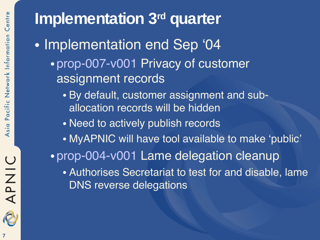# **Implementation** 3<sup>rd</sup> quarter

- Implementation end Sep '04
	- prop-007-v001 Privacy of customer assignment records
		- By default, customer assignment and suballocation records will be hidden
		- Need to actively publish records
		- MyAPNIC will have tool available to make 'public'
	- prop-004-v001 Lame delegation cleanup
		- Authorises Secretariat to test for and disable, lame DNS reverse delegations



APNIC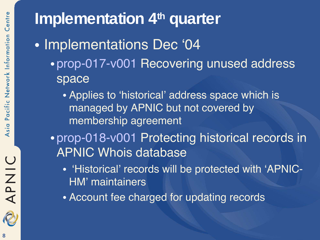# **Implementation 4<sup>th</sup> quarter**

- Implementations Dec '04
	- prop-017-v001 Recovering unused address space
		- Applies to 'historical' address space which is managed by APNIC but not covered by membership agreement
	- prop-018-v001 Protecting historical records in APNIC Whois database
		- 'Historical' records will be protected with 'APNIC-HM' maintainers
		- Account fee charged for updating records



APNIC

S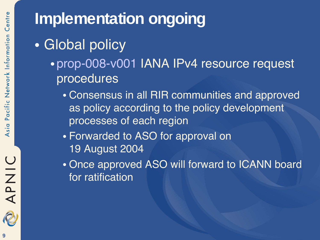## **Implementation ongoing**

- Global policy
	- prop-008-v001 IANA IPv4 resource request procedures
		- Consensus in all RIR communities and approved as policy according to the policy development processes of each region
		- Forwarded to ASO for approval on 19 August 2004
		- Once approved ASO will forward to ICANN board for ratification